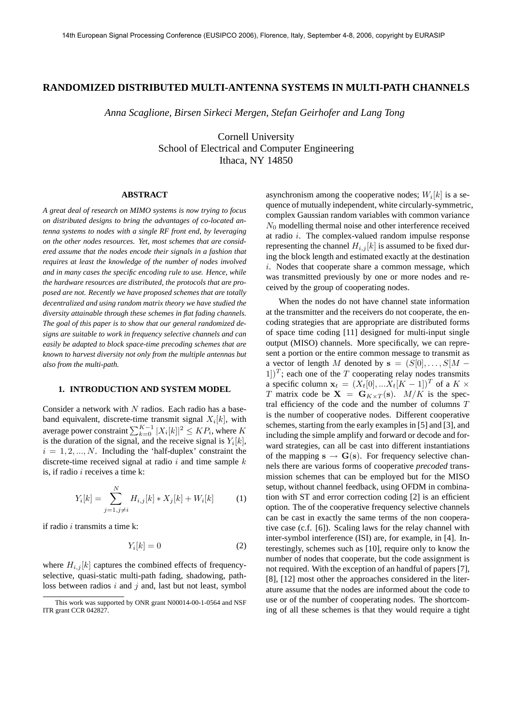### **RANDOMIZED DISTRIBUTED MULTI-ANTENNA SYSTEMS IN MULTI-PATH CHANNELS**

*Anna Scaglione, Birsen Sirkeci Mergen, Stefan Geirhofer and Lang Tong*

Cornell University School of Electrical and Computer Engineering Ithaca, NY 14850

#### **ABSTRACT**

*A great deal of research on MIMO systems is now trying to focus on distributed designs to bring the advantages of co-located antenna systems to nodes with a single RF front end, by leveraging on the other nodes resources. Yet, most schemes that are considered assume that the nodes encode their signals in a fashion that requires at least the knowledge of the number of nodes involved and in many cases the specific encoding rule to use. Hence, while the hardware resources are distributed, the protocols that are proposed are not. Recently we have proposed schemes that are totally decentralized and using random matrix theory we have studied the diversity attainable through these schemes in flat fading channels. The goal of this paper is to show that our general randomized designs are suitable to work in frequency selective channels and can easily be adapted to block space-time precoding schemes that are known to harvest diversity not only from the multiple antennas but also from the multi-path.*

### **1. INTRODUCTION AND SYSTEM MODEL**

Consider a network with  $N$  radios. Each radio has a baseband equivalent, discrete-time transmit signal  $X_i[k]$ , with average power constraint  $\sum_{k=0}^{K-1} |X_i[k]|^2 \leq KP_i$ , where K is the duration of the signal, and the receive signal is  $Y_i[k]$ ,  $i = 1, 2, ..., N$ . Including the 'half-duplex' constraint the discrete-time received signal at radio  $i$  and time sample  $k$ is, if radio  $i$  receives a time  $k$ :

$$
Y_i[k] = \sum_{j=1, j \neq i}^{N} H_{i,j}[k] * X_j[k] + W_i[k] \tag{1}
$$

if radio  $i$  transmits a time  $k$ :

$$
Y_i[k] = 0\tag{2}
$$

where  $H_{i,j}[k]$  captures the combined effects of frequencyselective, quasi-static multi-path fading, shadowing, pathloss between radios  $i$  and  $j$  and, last but not least, symbol

asynchronism among the cooperative nodes;  $W_i[k]$  is a sequence of mutually independent, white circularly-symmetric, complex Gaussian random variables with common variance  $N_0$  modelling thermal noise and other interference received at radio i. The complex-valued random impulse response representing the channel  $H_{i,j}[k]$  is assumed to be fixed during the block length and estimated exactly at the destination i. Nodes that cooperate share a common message, which was transmitted previously by one or more nodes and received by the group of cooperating nodes.

When the nodes do not have channel state information at the transmitter and the receivers do not cooperate, the encoding strategies that are appropriate are distributed forms of space time coding [11] designed for multi-input single output (MISO) channels. More specifically, we can represent a portion or the entire common message to transmit as a vector of length M denoted by  $\mathbf{s} = (S[0], \ldots, S[M -])$  $[1]$ <sup>T</sup>; each one of the T cooperating relay nodes transmits a specific column  $\mathbf{x}_t = (X_t[0], ... X_t[K-1])^T$  of a  $K \times$ T matrix code be  $X = G_{K \times T}(s)$ .  $M/K$  is the spectral efficiency of the code and the number of columns  $T$ is the number of cooperative nodes. Different cooperative schemes, starting from the early examples in [5] and [3], and including the simple amplify and forward or decode and forward strategies, can all be cast into different instantiations of the mapping  $s \rightarrow G(s)$ . For frequency selective channels there are various forms of cooperative *precoded* transmission schemes that can be employed but for the MISO setup, without channel feedback, using OFDM in combination with ST and error correction coding [2] is an efficient option. The of the cooperative frequency selective channels can be cast in exactly the same terms of the non cooperative case (c.f. [6]). Scaling laws for the relay channel with inter-symbol interference (ISI) are, for example, in [4]. Interestingly, schemes such as [10], require only to know the number of nodes that cooperate, but the code assignment is not required. With the exception of an handful of papers [7], [8], [12] most other the approaches considered in the literature assume that the nodes are informed about the code to use or of the number of cooperating nodes. The shortcoming of all these schemes is that they would require a tight

This work was supported by ONR grant N00014-00-1-0564 and NSF ITR grant CCR 042827.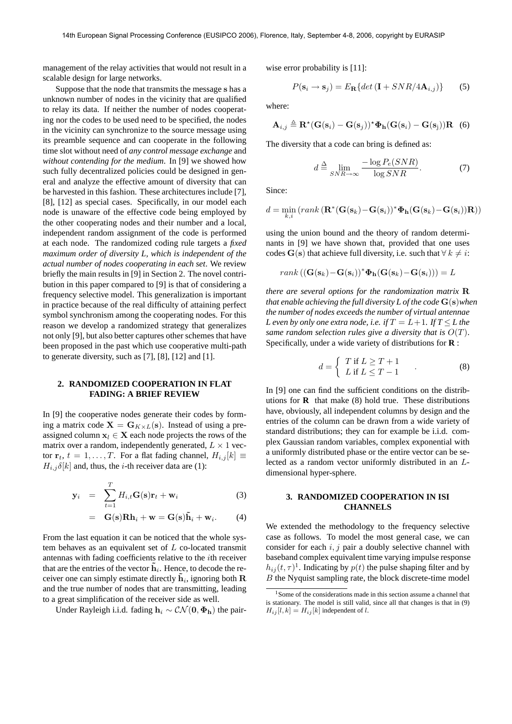management of the relay activities that would not result in a scalable design for large networks.

Suppose that the node that transmits the message s has a unknown number of nodes in the vicinity that are qualified to relay its data. If neither the number of nodes cooperating nor the codes to be used need to be specified, the nodes in the vicinity can synchronize to the source message using its preamble sequence and can cooperate in the following time slot without need of *any control message exchange* and *without contending for the medium*. In [9] we showed how such fully decentralized policies could be designed in general and analyze the effective amount of diversity that can be harvested in this fashion. These architectures include [7], [8], [12] as special cases. Specifically, in our model each node is unaware of the effective code being employed by the other cooperating nodes and their number and a local, independent random assignment of the code is performed at each node. The randomized coding rule targets a *fixed maximum order of diversity L, which is independent of the actual number of nodes cooperating in each set*. We review briefly the main results in [9] in Section 2. The novel contribution in this paper compared to [9] is that of considering a frequency selective model. This generalization is important in practice because of the real difficulty of attaining perfect symbol synchronism among the cooperating nodes. For this reason we develop a randomized strategy that generalizes not only [9], but also better captures other schemes that have been proposed in the past which use cooperative multi-path to generate diversity, such as [7], [8], [12] and [1].

# **2. RANDOMIZED COOPERATION IN FLAT FADING: A BRIEF REVIEW**

In [9] the cooperative nodes generate their codes by forming a matrix code  $X = G_{K \times L}(s)$ . Instead of using a preassigned column  $x_l \in X$  each node projects the rows of the matrix over a random, independently generated,  $L \times 1$  vector  $\mathbf{r}_t$ ,  $t = 1, \ldots, T$ . For a flat fading channel,  $H_{i,j}[k] \equiv$  $H_{i,j} \delta[k]$  and, thus, the *i*-th receiver data are (1):

$$
\mathbf{y}_i = \sum_{t=1}^T H_{i,t} \mathbf{G}(\mathbf{s}) \mathbf{r}_t + \mathbf{w}_i
$$
 (3)

$$
= \mathbf{G(s)}\mathbf{R}\mathbf{h}_i + \mathbf{w} = \mathbf{G(s)}\tilde{\mathbf{h}}_i + \mathbf{w}_i.
$$
 (4)

From the last equation it can be noticed that the whole system behaves as an equivalent set of  $L$  co-located transmit antennas with fading coefficients relative to the ith receiver that are the entries of the vector  $\tilde{h}_i$ . Hence, to decode the receiver one can simply estimate directly  $\tilde{\mathbf{h}}_i$ , ignoring both  $\mathbf R$ and the true number of nodes that are transmitting, leading to a great simplification of the receiver side as well.

Under Rayleigh i.i.d. fading  $h_i \sim \mathcal{CN}(\mathbf{0}, \Phi_{\mathbf{h}})$  the pair-

wise error probability is [11]:

$$
P(\mathbf{s}_i \to \mathbf{s}_j) = E_\mathbf{R} \{ \det(\mathbf{I} + SNR/4\mathbf{A}_{i,j}) \} \tag{5}
$$

where:

$$
\mathbf{A}_{i,j} \triangleq \mathbf{R}^{\star}(\mathbf{G}(\mathbf{s}_i) - \mathbf{G}(\mathbf{s}_j))^{\star} \mathbf{\Phi}_{\mathbf{h}}(\mathbf{G}(\mathbf{s}_i) - \mathbf{G}(\mathbf{s}_j)) \mathbf{R} \quad (6)
$$

The diversity that a code can bring is defined as:

$$
d \stackrel{\Delta}{=} \lim_{SNR \to \infty} \frac{-\log P_e(SNR)}{\log SNR}.
$$
 (7)

Since:

$$
d = \min_{k,i} \left( rank \left( \mathbf{R}^*(\mathbf{G}(\mathbf{s}_k) - \mathbf{G}(\mathbf{s}_i))^* \boldsymbol{\Phi}_\mathbf{h}(\mathbf{G}(\mathbf{s}_k) - \mathbf{G}(\mathbf{s}_i)) \mathbf{R} \right) \right)
$$

using the union bound and the theory of random determinants in [9] we have shown that, provided that one uses codes G(s) that achieve full diversity, i.e. such that  $\forall k \neq i$ :

$$
rank((\mathbf{G}(\mathbf{s}_k)-\mathbf{G}(\mathbf{s}_i))^*\boldsymbol{\Phi}_\mathbf{h}(\mathbf{G}(\mathbf{s}_k)-\mathbf{G}(\mathbf{s}_i)))=L
$$

*there are several options for the randomization matrix* R *that enable achieving the full diversity L of the code* G(s)*when the number of nodes exceeds the number of virtual antennae L* even by only one extra node, i.e. if  $T = L + 1$ . If  $T \leq L$  the *same random selection rules give a diversity that is* O(T). Specifically, under a wide variety of distributions for **R** :

$$
d = \begin{cases} T \text{ if } L \ge T + 1 \\ L \text{ if } L \le T - 1 \end{cases}
$$
 (8)

In [9] one can find the sufficient conditions on the distributions for **R** that make (8) hold true. These distributions have, obviously, all independent columns by design and the entries of the column can be drawn from a wide variety of standard distributions; they can for example be i.i.d. complex Gaussian random variables, complex exponential with a uniformly distributed phase or the entire vector can be selected as a random vector uniformly distributed in an Ldimensional hyper-sphere.

# **3. RANDOMIZED COOPERATION IN ISI CHANNELS**

We extended the methodology to the frequency selective case as follows. To model the most general case, we can consider for each  $i, j$  pair a doubly selective channel with baseband complex equivalent time varying impulse response  $h_{ij}(t, \tau)^{1}$ . Indicating by  $p(t)$  the pulse shaping filter and by B the Nyquist sampling rate, the block discrete-time model

<sup>1</sup>Some of the considerations made in this section assume a channel that is stationary. The model is still valid, since all that changes is that in (9)  $H_{ij}[l, k] = H_{ij}[k]$  independent of l.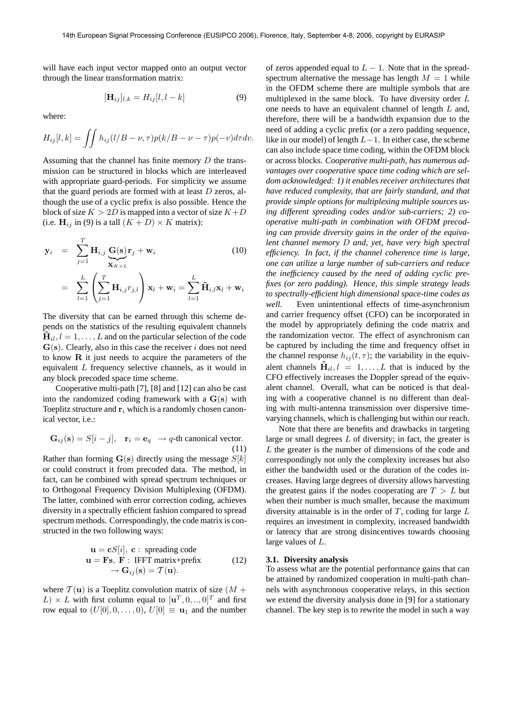will have each input vector mapped onto an output vector through the linear transformation matrix:

$$
[\mathbf{H}_{ij}]_{l,k} = H_{ij}[l, l-k] \tag{9}
$$

where:

$$
H_{ij}[l,k] = \iint h_{ij}(l/B - \nu, \tau) p(k/B - \nu - \tau) p(-\nu) d\tau d\nu.
$$

Assuming that the channel has finite memory D the transmission can be structured in blocks which are interleaved with appropriate guard-periods. For simplicity we assume that the guard periods are formed with at least  $D$  zeros, although the use of a cyclic prefix is also possible. Hence the block of size  $K > 2D$  is mapped into a vector of size  $K+D$ (i.e.  $H_{ij}$  in (9) is a tall  $(K+D) \times K$  matrix):

$$
\mathbf{y}_{i} = \sum_{j=1}^{T} \mathbf{H}_{i,j} \underbrace{\mathbf{G}(\mathbf{s})}_{\mathbf{X}_{K \times L}} \mathbf{r}_{j} + \mathbf{w}_{i}
$$
(10)  

$$
= \sum_{l=1}^{L} \left( \sum_{j=1}^{T} \mathbf{H}_{i,j} r_{j,l} \right) \mathbf{x}_{l} + \mathbf{w}_{i} = \sum_{l=1}^{L} \tilde{\mathbf{H}}_{i,l} \mathbf{x}_{l} + \mathbf{w}_{i}
$$

The diversity that can be earned through this scheme depends on the statistics of the resulting equivalent channels  $H_{il}$ ,  $l = 1, \ldots, L$  and on the particular selection of the code  $G(s)$ . Clearly, also in this case the receiver i does not need to know R it just needs to acquire the parameters of the equivalent L frequency selective channels, as it would in any block precoded space time scheme.

Cooperative multi-path [7], [8] and [12] can also be cast into the randomized coding framework with a G(s) with Toeplitz structure and  $r_i$  which is a randomly chosen canonical vector, i.e.:

$$
\mathbf{G}_{ij}(\mathbf{s}) = S[i-j], \quad \mathbf{r}_i = \mathbf{e}_q \rightarrow q\text{-th canonical vector.}
$$
\n(11)

Rather than forming  $\mathbf{G}(s)$  directly using the message  $S[k]$ or could construct it from precoded data. The method, in fact, can be combined with spread spectrum techniques or to Orthogonal Frequency Division Multiplexing (OFDM). The latter, combined with error correction coding, achieves diversity in a spectrally efficient fashion compared to spread spectrum methods. Correspondingly, the code matrix is constructed in the two following ways:

$$
\mathbf{u} = \mathbf{c}S[i], \mathbf{c} : \text{ spreading code} \n\mathbf{u} = \mathbf{F}\mathbf{s}, \mathbf{F} : \text{IFFT matrix} + \text{prefix} \n\rightarrow \mathbf{G}_{ij}(\mathbf{s}) = \mathcal{T}(\mathbf{u}).
$$
\n(12)

where  $T(\mathbf{u})$  is a Toeplitz convolution matrix of size  $(M +$  $(L) \times L$  with first column equal to  $[\mathbf{u}^T, 0, \dots, 0]^T$  and first row equal to  $(U[0], 0, \ldots, 0), U[0] \equiv \mathbf{u}_1$  and the number of zeros appended equal to  $L - 1$ . Note that in the spreadspectrum alternative the message has length  $M = 1$  while in the OFDM scheme there are multiple symbols that are multiplexed in the same block. To have diversity order  $L$ one needs to have an equivalent channel of length  $L$  and, therefore, there will be a bandwidth expansion due to the need of adding a cyclic prefix (or a zero padding sequence, like in our model) of length  $L-1$ . In either case, the scheme can also include space time coding, within the OFDM block or across blocks. *Cooperative multi-path, has numerous advantages over cooperative space time coding which are seldom acknowledged: 1) it enables receiver architectures that have reduced complexity, that are fairly standard, and that provide simple options for multiplexing multiple sources using different spreading codes and/or sub-carriers; 2) cooperative multi-path in combination with OFDM precoding can provide diversity gains in the order of the equivalent channel memory* D *and, yet, have very high spectral efficiency. In fact, if the channel coherence time is large, one can utilize a large number of sub-carriers and reduce the inefficiency caused by the need of adding cyclic prefixes (or zero padding). Hence, this simple strategy leads to spectrally-efficient high dimensional space-time codes as well.* Even unintentional effects of time-asynchronism and carrier frequency offset (CFO) can be incorporated in the model by appropriately defining the code matrix and the randomization vector. The effect of asynchronism can be captured by including the time and frequency offset in the channel response  $h_{ij}(t, \tau)$ ; the variability in the equivalent channels  $H_{il}$ ,  $l = 1, ..., L$  that is induced by the CFO effectively increases the Doppler spread of the equivalent channel. Overall, what can be noticed is that dealing with a cooperative channel is no different than dealing with multi-antenna transmission over dispersive timevarying channels, which is challenging but within our reach.

Note that there are benefits and drawbacks in targeting large or small degrees  $L$  of diversity; in fact, the greater is L the greater is the number of dimensions of the code and correspondingly not only the complexity increases but also either the bandwidth used or the duration of the codes increases. Having large degrees of diversity allows harvesting the greatest gains if the nodes cooperating are  $T > L$  but when their number is much smaller, because the maximum diversity attainable is in the order of  $T$ , coding for large  $L$ requires an investment in complexity, increased bandwidth or latency that are strong disincentives towards choosing large values of L.

#### **3.1. Diversity analysis**

To assess what are the potential performance gains that can be attained by randomized cooperation in multi-path channels with asynchronous cooperative relays, in this section we extend the diversity analysis done in [9] for a stationary channel. The key step is to rewrite the model in such a way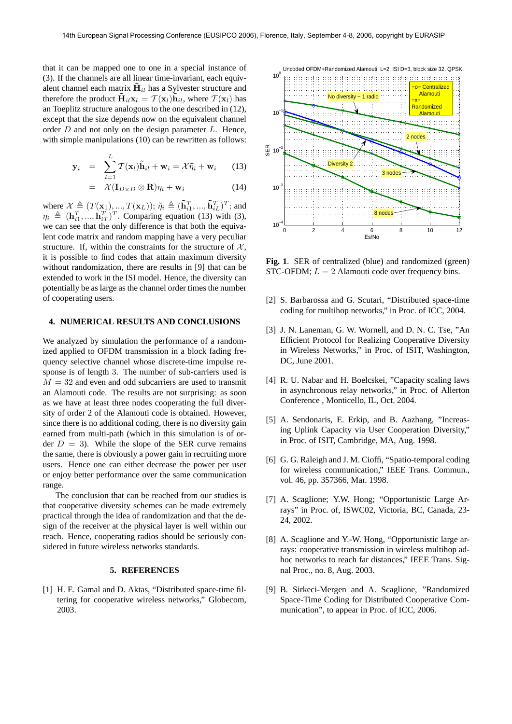that it can be mapped one to one in a special instance of (3). If the channels are all linear time-invariant, each equivalent channel each matrix  $\mathbf{H}_{il}$  has a Sylvester structure and therefore the product  $\tilde{\mathbf{H}}_{il}\mathbf{x}_l = \mathcal{T}(\mathbf{x}_l)\tilde{\mathbf{h}}_{il}$ , where  $\mathcal{T}(\mathbf{x}_l)$  has an Toeplitz structure analogous to the one described in (12), except that the size depends now on the equivalent channel order  $D$  and not only on the design parameter  $L$ . Hence, with simple manipulations (10) can be rewritten as follows:

$$
\mathbf{y}_i = \sum_{l=1}^L \mathcal{T}(\mathbf{x}_l) \tilde{\mathbf{h}}_{il} + \mathbf{w}_i = \mathcal{X} \tilde{\eta}_i + \mathbf{w}_i \qquad (13)
$$

$$
= \mathcal{X}(\mathbf{I}_{D\times D}\otimes\mathbf{R})\eta_i + \mathbf{w}_i \tag{14}
$$

where  $\mathcal{X} \triangleq (T(\mathbf{x}_1), ..., T(\mathbf{x}_L)); \tilde{\eta}_i \triangleq (\tilde{\mathbf{h}}_{i1}^T, ..., \tilde{\mathbf{h}}_{iL}^T)^T$ ; and  $\eta_i \triangleq (\mathbf{h}_{i1}^T, ..., \mathbf{h}_{iT}^T)^T$ . Comparing equation (13) with (3), we can see that the only difference is that both the equivalent code matrix and random mapping have a very peculiar structure. If, within the constraints for the structure of  $X$ , it is possible to find codes that attain maximum diversity without randomization, there are results in [9] that can be extended to work in the ISI model. Hence, the diversity can potentially be as large as the channel order times the number of cooperating users.

#### **4. NUMERICAL RESULTS AND CONCLUSIONS**

We analyzed by simulation the performance of a randomized applied to OFDM transmission in a block fading frequency selective channel whose discrete-time impulse response is of length 3. The number of sub-carriers used is  $M = 32$  and even and odd subcarriers are used to transmit an Alamouti code. The results are not surprising: as soon as we have at least three nodes cooperating the full diversity of order 2 of the Alamouti code is obtained. However, since there is no additional coding, there is no diversity gain earned from multi-path (which in this simulation is of order  $D = 3$ ). While the slope of the SER curve remains the same, there is obviously a power gain in recruiting more users. Hence one can either decrease the power per user or enjoy better performance over the same communication range.

The conclusion that can be reached from our studies is that cooperative diversity schemes can be made extremely practical through the idea of randomization and that the design of the receiver at the physical layer is well within our reach. Hence, cooperating radios should be seriously considered in future wireless networks standards.

# **5. REFERENCES**

[1] H. E. Gamal and D. Aktas, "Distributed space-time filtering for cooperative wireless networks," Globecom, 2003.



**Fig. 1**. SER of centralized (blue) and randomized (green) STC-OFDM;  $L = 2$  Alamouti code over frequency bins.

- [2] S. Barbarossa and G. Scutari, "Distributed space-time coding for multihop networks," in Proc. of ICC, 2004.
- [3] J. N. Laneman, G. W. Wornell, and D. N. C. Tse, "An Efficient Protocol for Realizing Cooperative Diversity in Wireless Networks," in Proc. of ISIT, Washington, DC, June 2001.
- [4] R. U. Nabar and H. Boelcskei, "Capacity scaling laws in asynchronous relay networks," in Proc. of Allerton Conference , Monticello, IL, Oct. 2004.
- [5] A. Sendonaris, E. Erkip, and B. Aazhang, "Increasing Uplink Capacity via User Cooperation Diversity," in Proc. of ISIT, Cambridge, MA, Aug. 1998.
- [6] G. G. Raleigh and J. M. Cioffi, "Spatio-temporal coding for wireless communication," IEEE Trans. Commun., vol. 46, pp. 357366, Mar. 1998.
- [7] A. Scaglione; Y.W. Hong; "Opportunistic Large Arrays" in Proc. of, ISWC02, Victoria, BC, Canada, 23- 24, 2002.
- [8] A. Scaglione and Y.-W. Hong, "Opportunistic large arrays: cooperative transmission in wireless multihop adhoc networks to reach far distances," IEEE Trans. Signal Proc., no. 8, Aug. 2003.
- [9] B. Sirkeci-Mergen and A. Scaglione, "Randomized Space-Time Coding for Distributed Cooperative Communication", to appear in Proc. of ICC, 2006.